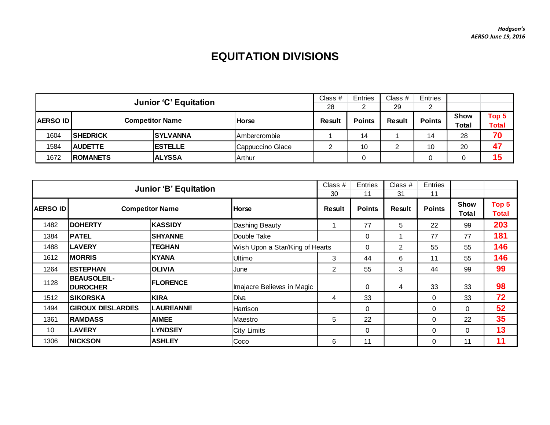## **EQUITATION DIVISIONS**

|                 |                              |                        |                     | Class $#$ | Entries       | Class $#$ | <b>Entries</b> |              |              |
|-----------------|------------------------------|------------------------|---------------------|-----------|---------------|-----------|----------------|--------------|--------------|
|                 | <b>Junior 'C' Equitation</b> |                        |                     | 28        |               | 29        | ◠              |              |              |
| <b>AERSO ID</b> |                              | <b>Competitor Name</b> | <b>Horse</b>        | Result    | <b>Points</b> | Result    | <b>Points</b>  | <b>Show</b>  | Top 5        |
|                 |                              |                        |                     |           |               |           |                | <b>Total</b> | <b>Total</b> |
| 1604            | <b>SHEDRICK</b>              | <b>ISYLVANNA</b>       | <b>Ambercrombie</b> |           | 14            |           | 14             | 28           | 70           |
| 1584            | <b>AUDETTE</b>               | <b>IESTELLE</b>        | Cappuccino Glace    | ⌒         | 10            |           | 10             | 20           | 47           |
| 1672            | <b>ROMANETS</b>              | <b>ALYSSA</b>          | Arthur              |           |               |           |                |              | 15           |

|                 | <b>Junior 'B' Equitation</b>          |                  |                                 |                |               | Class $#$<br>31 | Entries<br>11        |                       |     |
|-----------------|---------------------------------------|------------------|---------------------------------|----------------|---------------|-----------------|----------------------|-----------------------|-----|
| <b>AERSO ID</b> | <b>Competitor Name</b>                | <b>Horse</b>     | Result                          | <b>Points</b>  | <b>Result</b> | <b>Points</b>   | <b>Show</b><br>Total | Top 5<br><b>Total</b> |     |
| 1482            | <b>DOHERTY</b>                        | <b>KASSIDY</b>   | Dashing Beauty                  |                | 77            | 5               | 22                   | 99                    | 203 |
| 1384            | <b>PATEL</b>                          | <b>SHYANNE</b>   | Double Take                     |                | 0             |                 | 77                   | 77                    | 181 |
| 1488            | <b>LAVERY</b>                         | <b>TEGHAN</b>    | Wish Upon a Star/King of Hearts |                | 0             | $\overline{2}$  | 55                   | 55                    | 146 |
| 1612            | <b>MORRIS</b>                         | <b>KYANA</b>     | Ultimo                          | 3              | 44            | 6               | 11                   | 55                    | 146 |
| 1264            | <b>ESTEPHAN</b>                       | <b>OLIVIA</b>    | June                            | $\overline{2}$ | 55            | 3               | 44                   | 99                    | 99  |
| 1128            | <b>BEAUSOLEIL-</b><br><b>DUROCHER</b> | <b>FLORENCE</b>  | Imajacre Believes in Magic      |                | $\Omega$      | 4               | 33                   | 33                    | 98  |
| 1512            | <b>SIKORSKA</b>                       | <b>KIRA</b>      | Diva                            | 4              | 33            |                 | $\overline{0}$       | 33                    | 72  |
| 1494            | <b>GIROUX DESLARDES</b>               | <b>LAUREANNE</b> | Harrison                        |                | 0             |                 | $\Omega$             | $\Omega$              | 52  |
| 1361            | <b>RAMDASS</b>                        | <b>AIMEE</b>     | Maestro                         | 5              | 22            |                 | $\mathbf 0$          | 22                    | 35  |
| 10              | <b>LAVERY</b>                         | <b>LYNDSEY</b>   | <b>City Limits</b>              |                | 0             |                 | $\mathbf 0$          | $\Omega$              | 13  |
| 1306            | <b>NICKSON</b>                        | <b>ASHLEY</b>    | Coco                            | 6              | 11            |                 | 0                    | 11                    | 11  |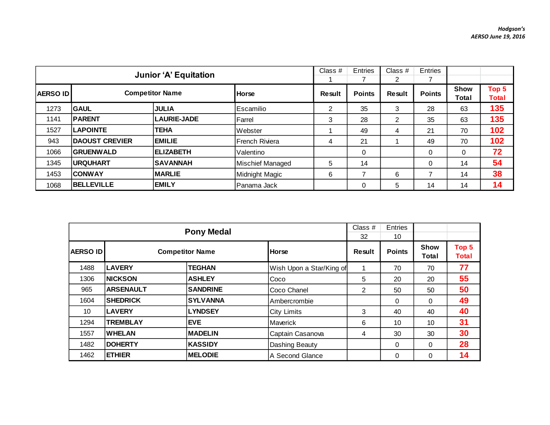|                  | <b>Junior 'A' Equitation</b> |                        | Class $#$        | Entries | Class $#$<br>2 | Entries |               |                      |                       |
|------------------|------------------------------|------------------------|------------------|---------|----------------|---------|---------------|----------------------|-----------------------|
| <b>AERSO IDI</b> |                              | <b>Competitor Name</b> | <b>Horse</b>     | Result  | <b>Points</b>  | Result  | <b>Points</b> | <b>Show</b><br>Total | Top 5<br><b>Total</b> |
| 1273             | <b>GAUL</b>                  | <b>JULIA</b>           | Escamilio        | 2       | 35             | 3       | 28            | 63                   | 135                   |
| 1141             | <b>PARENT</b>                | LAURIE-JADE            | Farrel           | 3       | 28             | 2       | 35            | 63                   | 135                   |
| 1527             | <b>LAPOINTE</b>              | <b>TEHA</b>            | Webster          |         | 49             | 4       | 21            | 70                   | 102                   |
| 943              | <b>DAOUST CREVIER</b>        | <b>EMILIE</b>          | French Riviera   | 4       | 21             |         | 49            | 70                   | 102                   |
| 1066             | <b>GRUENWALD</b>             | <b>ELIZABETH</b>       | Valentino        |         | 0              |         | 0             | 0                    | 72                    |
| 1345             | <b>IURQUHART</b>             | <b>ISAVANNAH</b>       | Mischief Managed | 5       | 14             |         | 0             | 14                   | 54                    |
| 1453             | <b>CONWAY</b>                | <b>MARLIE</b>          | Midnight Magic   | 6       |                | 6       |               | 14                   | 38                    |
| 1068             | <b>BELLEVILLE</b>            | <b>EMILY</b>           | Panama Jack      |         | 0              | 5       | 14            | 14                   | 14                    |

|                 |                  |                        | Class $#$<br>32          | <b>Entries</b><br>10 |               |               |                       |
|-----------------|------------------|------------------------|--------------------------|----------------------|---------------|---------------|-----------------------|
| <b>AERSO ID</b> |                  | <b>Competitor Name</b> | <b>Horse</b>             | Result               | <b>Points</b> | Show<br>Total | Top 5<br><b>Total</b> |
| 1488            | <b>LAVERY</b>    | <b>TEGHAN</b>          | Wish Upon a Star/King of | 1                    | 70            | 70            | 77                    |
| 1306            | <b>NICKSON</b>   | <b>ASHLEY</b>          | Coco                     | 5                    | 20            | 20            | 55                    |
| 965             | <b>ARSENAULT</b> | <b>SANDRINE</b>        | Coco Chanel              | 2                    | 50            | 50            | 50                    |
| 1604            | <b>SHEDRICK</b>  | <b>SYLVANNA</b>        | Ambercrombie             |                      | $\Omega$      | $\Omega$      | 49                    |
| 10              | <b>LAVERY</b>    | <b>LYNDSEY</b>         | <b>City Limits</b>       | 3                    | 40            | 40            | 40                    |
| 1294            | <b>TREMBLAY</b>  | <b>EVE</b>             | Maverick                 | 6                    | 10            | 10            | 31                    |
| 1557            | <b>WHELAN</b>    | <b>MADELIN</b>         | Captain Casanova         | 4                    | 30            | 30            | 30                    |
| 1482            | <b>DOHERTY</b>   | <b>KASSIDY</b>         | Dashing Beauty           |                      | $\Omega$      | $\Omega$      | 28                    |
| 1462            | <b>ETHIER</b>    | <b>MELODIE</b>         | A Second Glance          |                      | $\Omega$      | $\Omega$      | 14                    |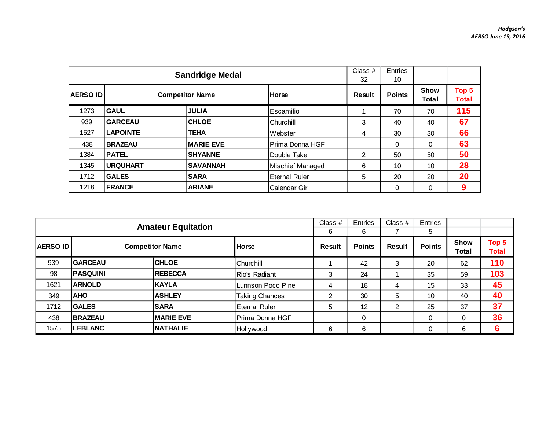|                 |                 | <b>Sandridge Medal</b> |                         | Class $#$<br>32 | <b>Entries</b><br>10 |                      |                       |
|-----------------|-----------------|------------------------|-------------------------|-----------------|----------------------|----------------------|-----------------------|
| <b>AERSO ID</b> |                 | <b>Competitor Name</b> | <b>Horse</b>            | Result          | <b>Points</b>        | <b>Show</b><br>Total | Top 5<br><b>Total</b> |
| 1273            | <b>GAUL</b>     | <b>JULIA</b>           | Escamilio               |                 | 70                   | 70                   | 115                   |
| 939             | <b>GARCEAU</b>  | <b>CHLOE</b>           | Churchill               | 3               | 40                   | 40                   | 67                    |
| 1527            | <b>LAPOINTE</b> | <b>TEHA</b>            | Webster                 | 4               | 30                   | 30                   | 66                    |
| 438             | <b>BRAZEAU</b>  | <b>MARIE EVE</b>       | Prima Donna HGF         |                 | $\Omega$             | $\Omega$             | 63                    |
| 1384            | <b>PATEL</b>    | <b>SHYANNE</b>         | Double Take             | 2               | 50                   | 50                   | 50                    |
| 1345            | <b>URQUHART</b> | <b>SAVANNAH</b>        | <b>Mischief Managed</b> | 6               | 10                   | 10                   | 28                    |
| 1712            | <b>GALES</b>    | <b>SARA</b>            | <b>Eternal Ruler</b>    | 5               | 20                   | 20                   | 20                    |
| 1218            | <b>FRANCE</b>   | <b>ARIANE</b>          | Calendar Girl           |                 | 0                    | $\Omega$             | 9                     |

|                 | <b>Amateur Equitation</b> |                        |                       |        |               | Class $#$ | Entries<br>5  |                      |                       |
|-----------------|---------------------------|------------------------|-----------------------|--------|---------------|-----------|---------------|----------------------|-----------------------|
| <b>AERSO ID</b> |                           | <b>Competitor Name</b> | <b>Horse</b>          | Result | <b>Points</b> | Result    | <b>Points</b> | <b>Show</b><br>Total | Top 5<br><b>Total</b> |
| 939             | <b>GARCEAU</b>            | <b>CHLOE</b>           | <b>Churchill</b>      |        | 42            | 3         | 20            | 62                   | 110                   |
| 98              | <b>PASQUINI</b>           | <b>REBECCA</b>         | <b>Rio's Radiant</b>  | 3      | 24            |           | 35            | 59                   | 103                   |
| 1621            | <b>ARNOLD</b>             | <b>IKAYLA</b>          | Lunnson Poco Pine     | 4      | 18            | 4         | 15            | 33                   | 45                    |
| 349             | <b>AHO</b>                | <b>ASHLEY</b>          | <b>Taking Chances</b> | ◠      | 30            | 5         | 10            | 40                   | 40                    |
| 1712            | <b>GALES</b>              | <b>SARA</b>            | <b>Eternal Ruler</b>  | 5      | 12            | 2         | 25            | 37                   | 37                    |
| 438             | <b>BRAZEAU</b>            | <b>IMARIE EVE</b>      | Prima Donna HGF       |        | $\mathbf 0$   |           | $\Omega$      |                      | 36                    |
| 1575            | <b>LEBLANC</b>            | <b>INATHALIE</b>       | Hollywood             | 6      | 6             |           | 0             | 6                    | 6                     |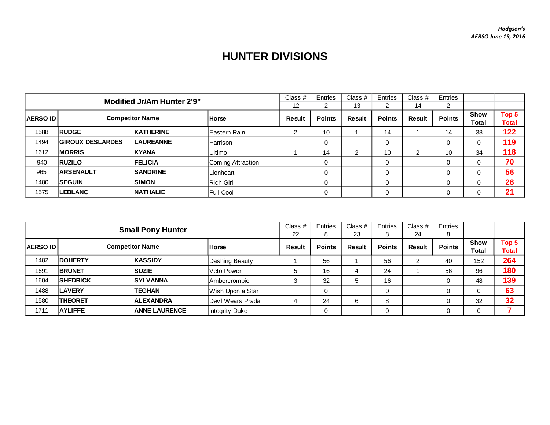## **HUNTER DIVISIONS**

| <b>Modified Jr/Am Hunter 2'9"</b> |                         |                        |                     | Class $#$     | <b>Entries</b> | Class $#$      | Entries       | Class $#$     | Entries       |                      |                |
|-----------------------------------|-------------------------|------------------------|---------------------|---------------|----------------|----------------|---------------|---------------|---------------|----------------------|----------------|
|                                   |                         |                        |                     | 12            |                | 13             | 2             | 14            |               |                      |                |
| <b>AERSO ID</b>                   |                         | <b>Competitor Name</b> | <b>Horse</b>        | <b>Result</b> | <b>Points</b>  | Result         | <b>Points</b> | <b>Result</b> | <b>Points</b> | <b>Show</b><br>Total | Top 5<br>Total |
| 1588                              | <b>RUDGE</b>            | <b>KATHERINE</b>       | <b>Eastern Rain</b> | 2             | 10             |                | 14            |               | 14            | 38                   | 122            |
| 1494                              | <b>GIROUX DESLARDES</b> | <b>LAUREANNE</b>       | <b>Harrison</b>     |               | 0              |                | 0             |               | 0             |                      | 119            |
| 1612                              | <b>IMORRIS</b>          | <b>IKYANA</b>          | <b>Ultimo</b>       |               | 14             | $\overline{2}$ | 10            | າ             | 10            | 34                   | 118            |
| 940                               | <b>RUZILO</b>           | <b>FELICIA</b>         | Coming Attraction   |               |                |                | $\Omega$      |               |               |                      | 70             |
| 965                               | <b>ARSENAULT</b>        | <b>SANDRINE</b>        | Lionheart           |               |                |                | 0             |               | 0             |                      | 56             |
| 1480                              | <b>SEGUIN</b>           | <b>SIMON</b>           | <b>Rich Girl</b>    |               |                |                | 0             |               |               |                      | 28             |
| 1575                              | <b>LEBLANC</b>          | <b>NATHALIE</b>        | Full Cool           |               |                |                | 0             |               |               |                      | 21             |

|                                           | <b>Small Pony Hunter</b> |                      |                   |               |               | Class #       | Entries       | Class $#$     | Entries              |                |     |
|-------------------------------------------|--------------------------|----------------------|-------------------|---------------|---------------|---------------|---------------|---------------|----------------------|----------------|-----|
|                                           |                          |                      |                   |               | 8             | 23            | 8             | 24            | 8                    |                |     |
| <b>Competitor Name</b><br><b>AERSO ID</b> |                          | <b>Horse</b>         | <b>Result</b>     | <b>Points</b> | <b>Result</b> | <b>Points</b> | <b>Result</b> | <b>Points</b> | <b>Show</b><br>Total | Top 5<br>Total |     |
| 1482                                      | <b>IDOHERTY</b>          | <b>KASSIDY</b>       | Dashing Beauty    |               | 56            |               | 56            |               | 40                   | 152            | 264 |
| 1691                                      | <b>BRUNET</b>            | <b>SUZIE</b>         | Veto Power        | 5             | 16            |               | 24            |               | 56                   | 96             | 180 |
| 1604                                      | <b>SHEDRICK</b>          | <b>SYLVANNA</b>      | Ambercrombie      | 3             | 32            | 5             | 16            |               |                      | 48             | 139 |
| 1488                                      | <b>LAVERY</b>            | <b>TEGHAN</b>        | Wish Upon a Star  |               | 0             |               | $\mathbf 0$   |               |                      |                | 63  |
| 1580                                      | <b>THEORET</b>           | <b>ALEXANDRA</b>     | Devil Wears Prada | 4             | 24            | 6             | 8             |               |                      | 32             | 32  |
| 1711                                      | <b>AYLIFFE</b>           | <b>ANNE LAURENCE</b> | Integrity Duke    |               | 0             |               | $\mathbf 0$   |               |                      |                |     |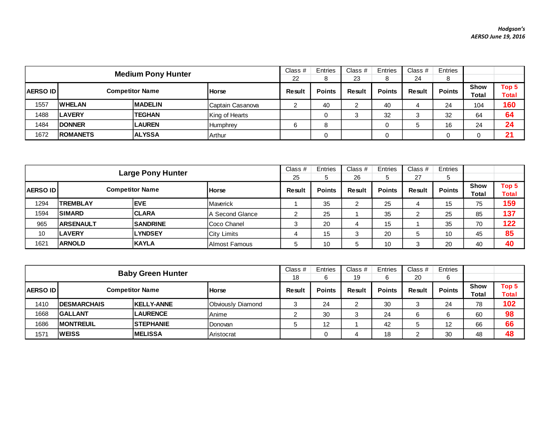|                                            | <b>Medium Pony Hunter</b> |                |                  |               |               | Class #       | Entries       | Class $#$     | Entries       |                      |                       |
|--------------------------------------------|---------------------------|----------------|------------------|---------------|---------------|---------------|---------------|---------------|---------------|----------------------|-----------------------|
|                                            |                           |                |                  |               |               | 23            | 8             | 24            | 8             |                      |                       |
| <b>Competitor Name</b><br><b>AERSO IDI</b> |                           |                | <b>Horse</b>     | <b>Result</b> | <b>Points</b> | <b>Result</b> | <b>Points</b> | <b>Result</b> | <b>Points</b> | <b>Show</b><br>Total | Top 5<br><b>Total</b> |
| 1557                                       | <b>IWHELAN</b>            | <b>MADELIN</b> | Captain Casanova | <u>_</u>      | 40            |               | 40            | 4             | 24            | 104                  | 160                   |
| 1488                                       | <b>ILAVERY</b>            | <b>TEGHAN</b>  | King of Hearts   |               |               |               | 32            |               | 32            | 64                   | 64                    |
| 1484                                       | <b>IDONNER</b>            | <b>LAUREN</b>  | Humphrey         | 6             |               |               |               |               | 16            | 24                   | 24                    |
| 1672                                       | <b>IROMANETS</b>          | <b>ALYSSA</b>  | Arthur           |               |               |               | 0             |               |               |                      | 21                    |

| <b>Large Pony Hunter</b>                   |                  |                 |                        |               | Entries | Class #       | Entries | Class $#$     | Entries              |                       |     |
|--------------------------------------------|------------------|-----------------|------------------------|---------------|---------|---------------|---------|---------------|----------------------|-----------------------|-----|
|                                            |                  |                 |                        |               |         | 26            | 5       | 27            | 5                    |                       |     |
| <b>Competitor Name</b><br><b>AERSO IDI</b> |                  | <b>Horse</b>    | Result                 | <b>Points</b> | Result  | <b>Points</b> | Result  | <b>Points</b> | <b>Show</b><br>Total | Top 5<br><b>Total</b> |     |
| 1294                                       | <b>TREMBLAY</b>  | <b>EVE</b>      | Maverick               |               | 35      | റ<br>∠        | 25      | 4             | 15                   | 75                    | 159 |
| 1594                                       | <b>SIMARD</b>    | <b>CLARA</b>    | <b>A</b> Second Glance | ⌒             | 25      |               | 35      | ົ             | 25                   | 85                    | 137 |
| 965                                        | <b>ARSENAULT</b> | <b>SANDRINE</b> | Coco Chanel            | 3             | 20      |               | 15      |               | 35                   | 70                    | 122 |
| 10                                         | <b>LAVERY</b>    | <b>LYNDSEY</b>  | <b>City Limits</b>     | 4             | 15      | 3             | 20      |               | 10                   | 45                    | 85  |
| 1621                                       | <b>ARNOLD</b>    | <b>KAYLA</b>    | Almost Famous          | 5             | 10      | b             | 10      | ≏             | 20                   | 40                    | 40  |

|                  | <b>Baby Green Hunter</b> |                        |                   |        |               | Class #       | Entries       | Class #       | Entries       |                             |                       |
|------------------|--------------------------|------------------------|-------------------|--------|---------------|---------------|---------------|---------------|---------------|-----------------------------|-----------------------|
|                  |                          |                        |                   |        | 6             | 19            | 6             | 20            | 6             |                             |                       |
| <b>AERSO IDI</b> |                          | <b>Competitor Name</b> | <b>Horse</b>      | Result | <b>Points</b> | <b>Result</b> | <b>Points</b> | <b>Result</b> | <b>Points</b> | <b>Show</b><br><b>Total</b> | Top 5<br><b>Total</b> |
| 1410             | <b>IDESMARCHAIS</b>      | <b>KELLY-ANNE</b>      | Obviously Diamond | J      | 24            |               | 30            | З             | 24            | 78                          | 102                   |
| 1668             | <b>IGALLANT</b>          | <b>LAURENCE</b>        | Anime             | ∼      | 30            | w             | 24            | 6             |               | 60                          | 98                    |
| 1686             | <b>MONTREUIL</b>         | <b>STEPHANIE</b>       | Donovan           | 5      | 12            |               | 42            | ÷             | 12            | 66                          | 66                    |
| 1571             | <b>WEISS</b>             | <b>IMELISSA</b>        | Aristocrat        |        |               | 4             | 18            |               | 30            | 48                          | 48                    |